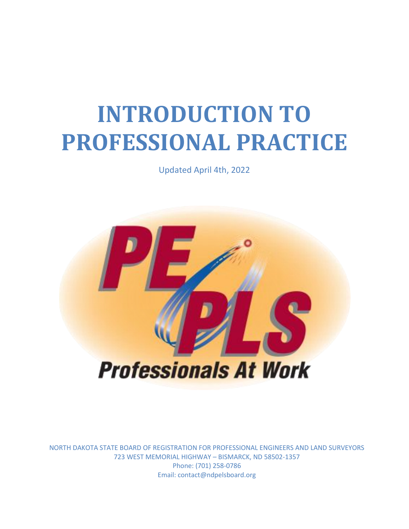# **INTRODUCTION TO PROFESSIONAL PRACTICE**

Updated April 4th, 2022



NORTH DAKOTA STATE BOARD OF REGISTRATION FOR PROFESSIONAL ENGINEERS AND LAND SURVEYORS 723 WEST MEMORIAL HIGHWAY – BISMARCK, ND 58502-1357 Phone: (701) 258-0786 Email: contact@ndpelsboard.org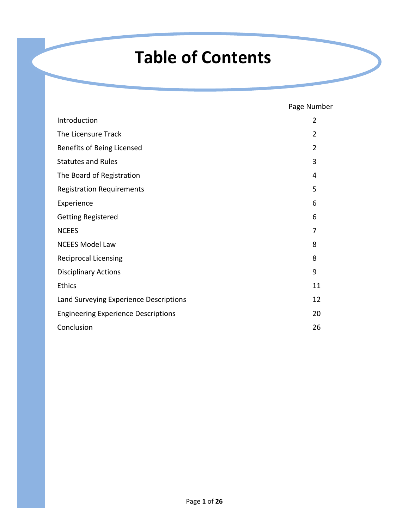# **Table of Contents**

Page Number

| Introduction                               | $\overline{2}$ |
|--------------------------------------------|----------------|
| The Licensure Track                        | 2              |
| Benefits of Being Licensed                 | 2              |
| <b>Statutes and Rules</b>                  | 3              |
| The Board of Registration                  | 4              |
| <b>Registration Requirements</b>           | 5              |
| Experience                                 | 6              |
| <b>Getting Registered</b>                  | 6              |
| <b>NCEES</b>                               | 7              |
| <b>NCEES Model Law</b>                     | 8              |
| <b>Reciprocal Licensing</b>                | 8              |
| <b>Disciplinary Actions</b>                | 9              |
| <b>Ethics</b>                              | 11             |
| Land Surveying Experience Descriptions     | 12             |
| <b>Engineering Experience Descriptions</b> | 20             |
| Conclusion                                 | 26             |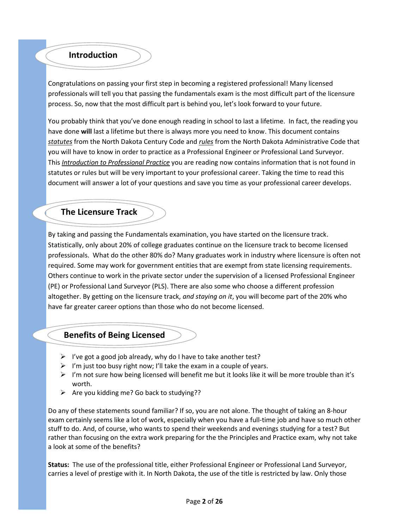#### **Introduction**

Congratulations on passing your first step in becoming a registered professional! Many licensed professionals will tell you that passing the fundamentals exam is the most difficult part of the licensure process. So, now that the most difficult part is behind you, let's look forward to your future.

You probably think that you've done enough reading in school to last a lifetime. In fact, the reading you have done **will** last a lifetime but there is always more you need to know. This document contains *statutes* from the North Dakota Century Code and *rules* from the North Dakota Administrative Code that you will have to know in order to practice as a Professional Engineer or Professional Land Surveyor. This *Introduction to Professional Practice* you are reading now contains information that is not found in statutes or rules but will be very important to your professional career. Taking the time to read this document will answer a lot of your questions and save you time as your professional career develops.

#### **The Licensure Track**

By taking and passing the Fundamentals examination, you have started on the licensure track. Statistically, only about 20% of college graduates continue on the licensure track to become licensed professionals. What do the other 80% do? Many graduates work in industry where licensure is often not required. Some may work for government entities that are exempt from state licensing requirements. Others continue to work in the private sector under the supervision of a licensed Professional Engineer (PE) or Professional Land Surveyor (PLS). There are also some who choose a different profession altogether. By getting on the licensure track, *and staying on it*, you will become part of the 20% who have far greater career options than those who do not become licensed.

#### **Benefits of Being Licensed**

- $\triangleright$  I've got a good job already, why do I have to take another test?
- $\triangleright$  I'm just too busy right now; I'll take the exam in a couple of years.
- $\triangleright$  I'm not sure how being licensed will benefit me but it looks like it will be more trouble than it's worth.
- $\triangleright$  Are you kidding me? Go back to studying??

Do any of these statements sound familiar? If so, you are not alone. The thought of taking an 8-hour exam certainly seems like a lot of work, especially when you have a full-time job and have so much other stuff to do. And, of course, who wants to spend their weekends and evenings studying for a test? But rather than focusing on the extra work preparing for the the Principles and Practice exam, why not take a look at some of the benefits?

**Status:** The use of the professional title, either Professional Engineer or Professional Land Surveyor, carries a level of prestige with it. In North Dakota, the use of the title is restricted by law. Only those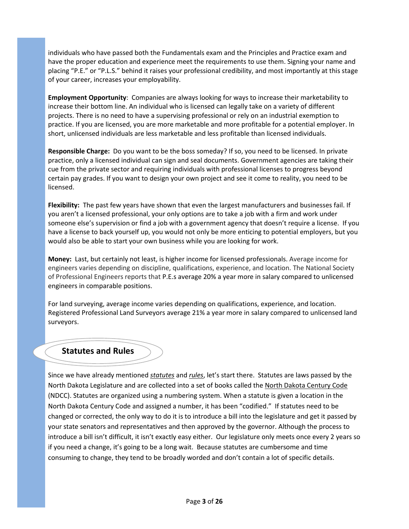individuals who have passed both the Fundamentals exam and the Principles and Practice exam and have the proper education and experience meet the requirements to use them. Signing your name and placing "P.E." or "P.L.S." behind it raises your professional credibility, and most importantly at this stage of your career, increases your employability.

**Employment Opportunity**: Companies are always looking for ways to increase their marketability to increase their bottom line. An individual who is licensed can legally take on a variety of different projects. There is no need to have a supervising professional or rely on an industrial exemption to practice. If you are licensed, you are more marketable and more profitable for a potential employer. In short, unlicensed individuals are less marketable and less profitable than licensed individuals.

**Responsible Charge:** Do you want to be the boss someday? If so, you need to be licensed. In private practice, only a licensed individual can sign and seal documents. Government agencies are taking their cue from the private sector and requiring individuals with professional licenses to progress beyond certain pay grades. If you want to design your own project and see it come to reality, you need to be licensed.

**Flexibility:** The past few years have shown that even the largest manufacturers and businesses fail. If you aren't a licensed professional, your only options are to take a job with a firm and work under someone else's supervision or find a job with a government agency that doesn't require a license. If you have a license to back yourself up, you would not only be more enticing to potential employers, but you would also be able to start your own business while you are looking for work.

**Money:** Last, but certainly not least, is higher income for licensed professionals. Average income for engineers varies depending on discipline, qualifications, experience, and location. The National Society of Professional Engineers reports that P.E.s average 20% a year more in salary compared to unlicensed engineers in comparable positions.

For land surveying, average income varies depending on qualifications, experience, and location. Registered Professional Land Surveyors average 21% a year more in salary compared to unlicensed land surveyors.

#### **Statutes and Rules**

Since we have already mentioned *statutes* and *rules*, let's start there. Statutes are laws passed by the North Dakota Legislature and are collected into a set of books called the North Dakota Century Code (NDCC). Statutes are organized using a numbering system. When a statute is given a location in the North Dakota Century Code and assigned a number, it has been "codified." If statutes need to be changed or corrected, the only way to do it is to introduce a bill into the legislature and get it passed by your state senators and representatives and then approved by the governor. Although the process to introduce a bill isn't difficult, it isn't exactly easy either. Our legislature only meets once every 2 years so if you need a change, it's going to be a long wait. Because statutes are cumbersome and time consuming to change, they tend to be broadly worded and don't contain a lot of specific details.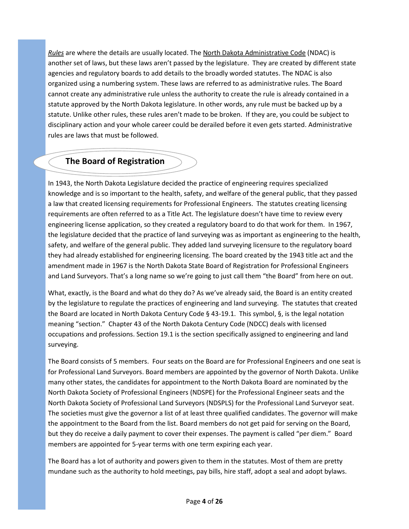*Rules* are where the details are usually located. The North Dakota Administrative Code (NDAC) is another set of laws, but these laws aren't passed by the legislature. They are created by different state agencies and regulatory boards to add details to the broadly worded statutes. The NDAC is also organized using a numbering system. These laws are referred to as administrative rules. The Board cannot create any administrative rule unless the authority to create the rule is already contained in a statute approved by the North Dakota legislature. In other words, any rule must be backed up by a statute. Unlike other rules, these rules aren't made to be broken. If they are, you could be subject to disciplinary action and your whole career could be derailed before it even gets started. Administrative rules are laws that must be followed.

# **The Board of Registration**

In 1943, the North Dakota Legislature decided the practice of engineering requires specialized knowledge and is so important to the health, safety, and welfare of the general public, that they passed a law that created licensing requirements for Professional Engineers. The statutes creating licensing requirements are often referred to as a Title Act. The legislature doesn't have time to review every engineering license application, so they created a regulatory board to do that work for them. In 1967, the legislature decided that the practice of land surveying was as important as engineering to the health, safety, and welfare of the general public. They added land surveying licensure to the regulatory board they had already established for engineering licensing. The board created by the 1943 title act and the amendment made in 1967 is the North Dakota State Board of Registration for Professional Engineers and Land Surveyors. That's a long name so we're going to just call them "the Board" from here on out.

What, exactly, is the Board and what do they do? As we've already said, the Board is an entity created by the legislature to regulate the practices of engineering and land surveying. The statutes that created the Board are located in North Dakota Century Code § 43-19.1. This symbol, §, is the legal notation meaning "section." Chapter 43 of the North Dakota Century Code (NDCC) deals with licensed occupations and professions. Section 19.1 is the section specifically assigned to engineering and land surveying.

The Board consists of 5 members. Four seats on the Board are for Professional Engineers and one seat is for Professional Land Surveyors. Board members are appointed by the governor of North Dakota. Unlike many other states, the candidates for appointment to the North Dakota Board are nominated by the North Dakota Society of Professional Engineers (NDSPE) for the Professional Engineer seats and the North Dakota Society of Professional Land Surveyors (NDSPLS) for the Professional Land Surveyor seat. The societies must give the governor a list of at least three qualified candidates. The governor will make the appointment to the Board from the list. Board members do not get paid for serving on the Board, but they do receive a daily payment to cover their expenses. The payment is called "per diem." Board members are appointed for 5-year terms with one term expiring each year.

The Board has a lot of authority and powers given to them in the statutes. Most of them are pretty mundane such as the authority to hold meetings, pay bills, hire staff, adopt a seal and adopt bylaws.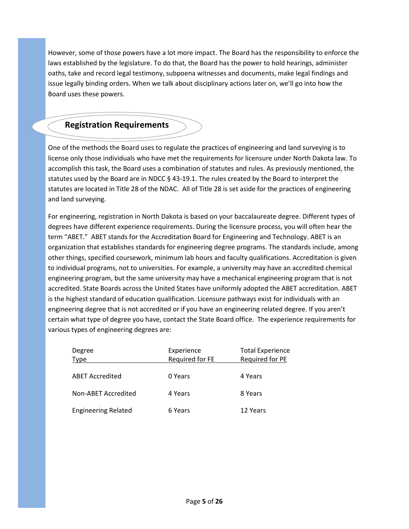However, some of those powers have a lot more impact. The Board has the responsibility to enforce the laws established by the legislature. To do that, the Board has the power to hold hearings, administer oaths, take and record legal testimony, subpoena witnesses and documents, make legal findings and issue legally binding orders. When we talk about disciplinary actions later on, we'll go into how the Board uses these powers.

# **Registration Requirements**

One of the methods the Board uses to regulate the practices of engineering and land surveying is to license only those individuals who have met the requirements for licensure under North Dakota law. To accomplish this task, the Board uses a combination of statutes and rules. As previously mentioned, the statutes used by the Board are in NDCC § 43-19.1. The rules created by the Board to interpret the statutes are located in Title 28 of the NDAC. All of Title 28 is set aside for the practices of engineering and land surveying.

For engineering, registration in North Dakota is based on your baccalaureate degree. Different types of degrees have different experience requirements. During the licensure process, you will often hear the term "ABET." ABET stands for the Accreditation Board for Engineering and Technology. ABET is an organization that establishes standards for engineering degree programs. The standards include, among other things, specified coursework, minimum lab hours and faculty qualifications. Accreditation is given to individual programs, not to universities. For example, a university may have an accredited chemical engineering program, but the same university may have a mechanical engineering program that is not accredited. State Boards across the United States have uniformly adopted the ABET accreditation. ABET is the highest standard of education qualification. Licensure pathways exist for individuals with an engineering degree that is not accredited or if you have an engineering related degree. If you aren't certain what type of degree you have, contact the State Board office. The experience requirements for various types of engineering degrees are:

| Degree<br><b>Type</b>      | Experience<br>Required for FE | <b>Total Experience</b><br>Required for PE |
|----------------------------|-------------------------------|--------------------------------------------|
| <b>ABET Accredited</b>     | 0 Years                       | 4 Years                                    |
| Non-ABET Accredited        | 4 Years                       | 8 Years                                    |
| <b>Engineering Related</b> | 6 Years                       | 12 Years                                   |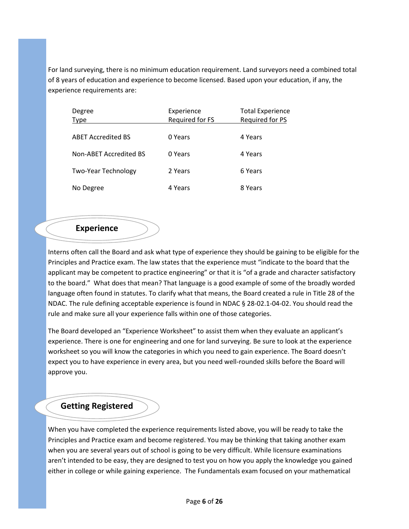For land surveying, there is no minimum education requirement. Land surveyors need a combined total of 8 years of education and experience to become licensed. Based upon your education, if any, the experience requirements are:

| Degree<br><b>Type</b>      | Experience<br>Required for FS | <b>Total Experience</b><br>Required for PS |
|----------------------------|-------------------------------|--------------------------------------------|
| <b>ABET Accredited BS</b>  | 0 Years                       | 4 Years                                    |
| Non-ABET Accredited BS     | 0 Years                       | 4 Years                                    |
| <b>Two-Year Technology</b> | 2 Years                       | 6 Years                                    |
| No Degree                  | 4 Years                       | 8 Years                                    |

#### **Experience**

Interns often call the Board and ask what type of experience they should be gaining to be eligible for the Principles and Practice exam. The law states that the experience must "indicate to the board that the applicant may be competent to practice engineering" or that it is "of a grade and character satisfactory to the board." What does that mean? That language is a good example of some of the broadly worded language often found in statutes. To clarify what that means, the Board created a rule in Title 28 of the NDAC. The rule defining acceptable experience is found in NDAC § 28-02.1-04-02. You should read the rule and make sure all your experience falls within one of those categories.

The Board developed an "Experience Worksheet" to assist them when they evaluate an applicant's experience. There is one for engineering and one for land surveying. Be sure to look at the experience worksheet so you will know the categories in which you need to gain experience. The Board doesn't expect you to have experience in every area, but you need well-rounded skills before the Board will approve you.

## **Getting Registered**

When you have completed the experience requirements listed above, you will be ready to take the Principles and Practice exam and become registered. You may be thinking that taking another exam when you are several years out of school is going to be very difficult. While licensure examinations aren't intended to be easy, they are designed to test you on how you apply the knowledge you gained either in college or while gaining experience. The Fundamentals exam focused on your mathematical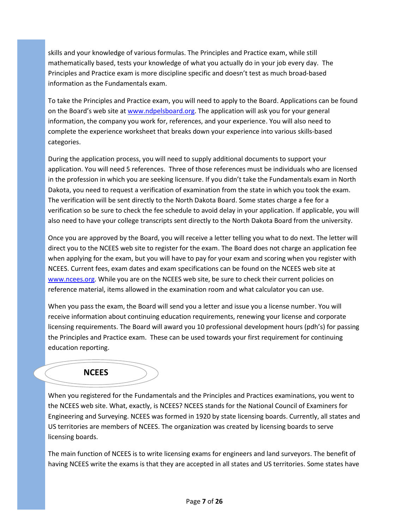skills and your knowledge of various formulas. The Principles and Practice exam, while still mathematically based, tests your knowledge of what you actually do in your job every day. The Principles and Practice exam is more discipline specific and doesn't test as much broad-based information as the Fundamentals exam.

To take the Principles and Practice exam, you will need to apply to the Board. Applications can be found on the Board's web site at [www.ndpelsboard.org.](http://www.ndpelsboard.org/) The application will ask you for your general information, the company you work for, references, and your experience. You will also need to complete the experience worksheet that breaks down your experience into various skills-based categories.

During the application process, you will need to supply additional documents to support your application. You will need 5 references. Three of those references must be individuals who are licensed in the profession in which you are seeking licensure. If you didn't take the Fundamentals exam in North Dakota, you need to request a verification of examination from the state in which you took the exam. The verification will be sent directly to the North Dakota Board. Some states charge a fee for a verification so be sure to check the fee schedule to avoid delay in your application. If applicable, you will also need to have your college transcripts sent directly to the North Dakota Board from the university.

Once you are approved by the Board, you will receive a letter telling you what to do next. The letter will direct you to the NCEES web site to register for the exam. The Board does not charge an application fee when applying for the exam, but you will have to pay for your exam and scoring when you register with NCEES. Current fees, exam dates and exam specifications can be found on the NCEES web site at [www.ncees.org.](http://www.ncees.org/) While you are on the NCEES web site, be sure to check their current policies on reference material, items allowed in the examination room and what calculator you can use.

When you pass the exam, the Board will send you a letter and issue you a license number. You will receive information about continuing education requirements, renewing your license and corporate licensing requirements. The Board will award you 10 professional development hours (pdh's) for passing the Principles and Practice exam. These can be used towards your first requirement for continuing education reporting.

## **NCEES**

When you registered for the Fundamentals and the Principles and Practices examinations, you went to the NCEES web site. What, exactly, is NCEES? NCEES stands for the National Council of Examiners for Engineering and Surveying. NCEES was formed in 1920 by state licensing boards. Currently, all states and US territories are members of NCEES. The organization was created by licensing boards to serve licensing boards.

The main function of NCEES is to write licensing exams for engineers and land surveyors. The benefit of having NCEES write the exams is that they are accepted in all states and US territories. Some states have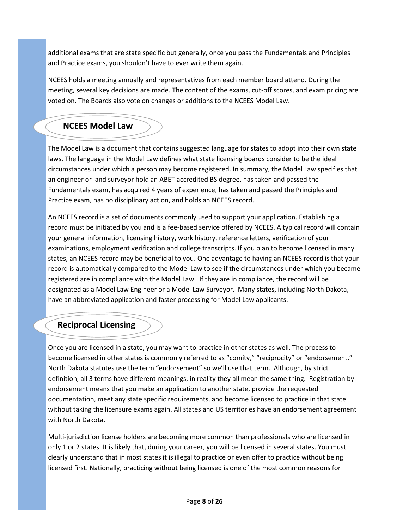additional exams that are state specific but generally, once you pass the Fundamentals and Principles and Practice exams, you shouldn't have to ever write them again.

NCEES holds a meeting annually and representatives from each member board attend. During the meeting, several key decisions are made. The content of the exams, cut-off scores, and exam pricing are voted on. The Boards also vote on changes or additions to the NCEES Model Law.

# **NCEES Model Law**

The Model Law is a document that contains suggested language for states to adopt into their own state laws. The language in the Model Law defines what state licensing boards consider to be the ideal circumstances under which a person may become registered. In summary, the Model Law specifies that an engineer or land surveyor hold an ABET accredited BS degree, has taken and passed the Fundamentals exam, has acquired 4 years of experience, has taken and passed the Principles and Practice exam, has no disciplinary action, and holds an NCEES record.

An NCEES record is a set of documents commonly used to support your application. Establishing a record must be initiated by you and is a fee-based service offered by NCEES. A typical record will contain your general information, licensing history, work history, reference letters, verification of your examinations, employment verification and college transcripts. If you plan to become licensed in many states, an NCEES record may be beneficial to you. One advantage to having an NCEES record is that your record is automatically compared to the Model Law to see if the circumstances under which you became registered are in compliance with the Model Law. If they are in compliance, the record will be designated as a Model Law Engineer or a Model Law Surveyor. Many states, including North Dakota, have an abbreviated application and faster processing for Model Law applicants.

# **Reciprocal Licensing**

Once you are licensed in a state, you may want to practice in other states as well. The process to become licensed in other states is commonly referred to as "comity," "reciprocity" or "endorsement." North Dakota statutes use the term "endorsement" so we'll use that term. Although, by strict definition, all 3 terms have different meanings, in reality they all mean the same thing. Registration by endorsement means that you make an application to another state, provide the requested documentation, meet any state specific requirements, and become licensed to practice in that state without taking the licensure exams again. All states and US territories have an endorsement agreement with North Dakota.

Multi-jurisdiction license holders are becoming more common than professionals who are licensed in only 1 or 2 states. It is likely that, during your career, you will be licensed in several states. You must clearly understand that in most states it is illegal to practice or even offer to practice without being licensed first. Nationally, practicing without being licensed is one of the most common reasons for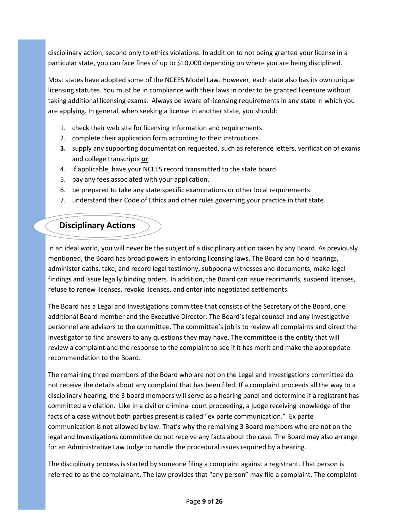disciplinary action; second only to ethics violations. In addition to not being granted your license in a particular state, you can face fines of up to \$10,000 depending on where you are being disciplined.

Most states have adopted some of the NCEES Model Law. However, each state also has its own unique licensing statutes. You must be in compliance with their laws in order to be granted licensure without taking additional licensing exams. Always be aware of licensing requirements in any state in which you are applying. In general, when seeking a license in another state, you should:

- 1. check their web site for licensing information and requirements.
- 2. complete their application form according to their instructions.
- **3.** supply any supporting documentation requested, such as reference letters, verification of exams and college transcripts **or**
- 4. if applicable, have your NCEES record transmitted to the state board.
- 5. pay any fees associated with your application.
- 6. be prepared to take any state specific examinations or other local requirements.
- 7. understand their Code of Ethics and other rules governing your practice in that state.

# **Disciplinary Actions**

In an ideal world, you will never be the subject of a disciplinary action taken by any Board. As previously mentioned, the Board has broad powers in enforcing licensing laws. The Board can hold hearings, administer oaths, take, and record legal testimony, subpoena witnesses and documents, make legal findings and issue legally binding orders. In addition, the Board can issue reprimands, suspend licenses, refuse to renew licenses, revoke licenses, and enter into negotiated settlements.

The Board has a Legal and Investigations committee that consists of the Secretary of the Board, one additional Board member and the Executive Director. The Board's legal counsel and any investigative personnel are advisors to the committee. The committee's job is to review all complaints and direct the investigator to find answers to any questions they may have. The committee is the entity that will review a complaint and the response to the complaint to see if it has merit and make the appropriate recommendation to the Board.

The remaining three members of the Board who are not on the Legal and Investigations committee do not receive the details about any complaint that has been filed. If a complaint proceeds all the way to a disciplinary hearing, the 3 board members will serve as a hearing panel and determine if a registrant has committed a violation. Like in a civil or criminal court proceeding, a judge receiving knowledge of the facts of a case without both parties present is called "ex parte communication." Ex parte communication is not allowed by law. That's why the remaining 3 Board members who are not on the legal and Investigations committee do not receive any facts about the case. The Board may also arrange for an Administrative Law Judge to handle the procedural issues required by a hearing.

The disciplinary process is started by someone filing a complaint against a registrant. That person is referred to as the complainant. The law provides that "any person" may file a complaint. The complaint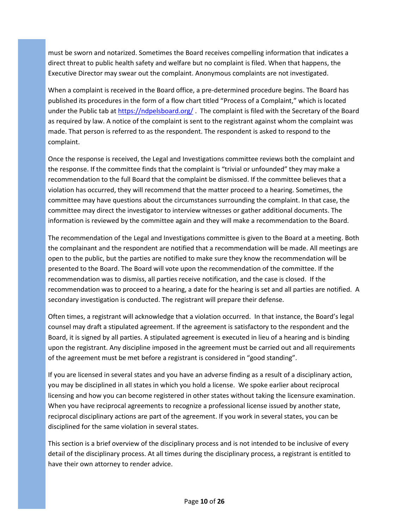must be sworn and notarized. Sometimes the Board receives compelling information that indicates a direct threat to public health safety and welfare but no complaint is filed. When that happens, the Executive Director may swear out the complaint. Anonymous complaints are not investigated.

When a complaint is received in the Board office, a pre-determined procedure begins. The Board has published its procedures in the form of a flow chart titled "Process of a Complaint," which is located under the Public tab a[t https://ndpelsboard.org/](https://ndpelsboard.org/) . The complaint is filed with the Secretary of the Board as required by law. A notice of the complaint is sent to the registrant against whom the complaint was made. That person is referred to as the respondent. The respondent is asked to respond to the complaint.

Once the response is received, the Legal and Investigations committee reviews both the complaint and the response. If the committee finds that the complaint is "trivial or unfounded" they may make a recommendation to the full Board that the complaint be dismissed. If the committee believes that a violation has occurred, they will recommend that the matter proceed to a hearing. Sometimes, the committee may have questions about the circumstances surrounding the complaint. In that case, the committee may direct the investigator to interview witnesses or gather additional documents. The information is reviewed by the committee again and they will make a recommendation to the Board.

The recommendation of the Legal and Investigations committee is given to the Board at a meeting. Both the complainant and the respondent are notified that a recommendation will be made. All meetings are open to the public, but the parties are notified to make sure they know the recommendation will be presented to the Board. The Board will vote upon the recommendation of the committee. If the recommendation was to dismiss, all parties receive notification, and the case is closed. If the recommendation was to proceed to a hearing, a date for the hearing is set and all parties are notified. A secondary investigation is conducted. The registrant will prepare their defense.

Often times, a registrant will acknowledge that a violation occurred. In that instance, the Board's legal counsel may draft a stipulated agreement. If the agreement is satisfactory to the respondent and the Board, it is signed by all parties. A stipulated agreement is executed in lieu of a hearing and is binding upon the registrant. Any discipline imposed in the agreement must be carried out and all requirements of the agreement must be met before a registrant is considered in "good standing".

If you are licensed in several states and you have an adverse finding as a result of a disciplinary action, you may be disciplined in all states in which you hold a license. We spoke earlier about reciprocal licensing and how you can become registered in other states without taking the licensure examination. When you have reciprocal agreements to recognize a professional license issued by another state, reciprocal disciplinary actions are part of the agreement. If you work in several states, you can be disciplined for the same violation in several states.

This section is a brief overview of the disciplinary process and is not intended to be inclusive of every detail of the disciplinary process. At all times during the disciplinary process, a registrant is entitled to have their own attorney to render advice.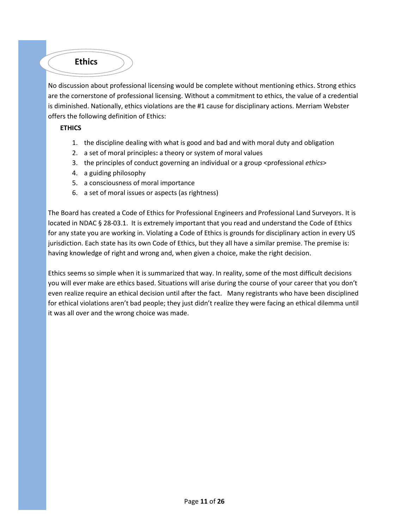

No discussion about professional licensing would be complete without mentioning ethics. Strong ethics are the cornerstone of professional licensing. Without a commitment to ethics, the value of a credential is diminished. Nationally, ethics violations are the #1 cause for disciplinary actions. Merriam Webster offers the following definition of Ethics:

#### **ETHICS**

- 1. the discipline dealing with what is good and bad and with moral duty and obligation
- 2. a set of moral principles**:** a theory or system of moral values
- 3. the principles of conduct governing an individual or a group <professional *ethics*>
- 4. a guiding philosophy
- 5. a consciousness of moral importance
- 6. a set of moral issues or aspects (as rightness)

The Board has created a Code of Ethics for Professional Engineers and Professional Land Surveyors. It is located in NDAC § 28-03.1. It is extremely important that you read and understand the Code of Ethics for any state you are working in. Violating a Code of Ethics is grounds for disciplinary action in every US jurisdiction. Each state has its own Code of Ethics, but they all have a similar premise. The premise is: having knowledge of right and wrong and, when given a choice, make the right decision.

Ethics seems so simple when it is summarized that way. In reality, some of the most difficult decisions you will ever make are ethics based. Situations will arise during the course of your career that you don't even realize require an ethical decision until after the fact. Many registrants who have been disciplined for ethical violations aren't bad people; they just didn't realize they were facing an ethical dilemma until it was all over and the wrong choice was made.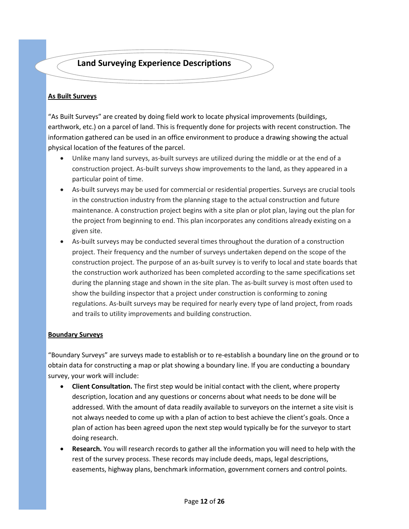# **Land Surveying Experience Descriptions**

#### **As Built Surveys**

"As Built Surveys" are created by doing field work to locate physical improvements (buildings, earthwork, etc.) on a parcel of land. This is frequently done for projects with recent construction. The information gathered can be used in an office environment to produce a drawing showing the actual physical location of the features of the parcel.

- Unlike many land surveys, as-built surveys are utilized during the middle or at the end of a construction project. As-built surveys show improvements to the land, as they appeared in a particular point of time.
- As-built surveys may be used for commercial or residential properties. Surveys are crucial tools in the construction industry from the planning stage to the actual construction and future maintenance. A construction project begins with a site plan or plot plan, laying out the plan for the project from beginning to end. This plan incorporates any conditions already existing on a given site.
- As-built surveys may be conducted several times throughout the duration of a construction project. Their frequency and the number of surveys undertaken depend on the scope of the construction project. The purpose of an as-built survey is to verify to local and state boards that the construction work authorized has been completed according to the same specifications set during the planning stage and shown in the site plan. The as-built survey is most often used to show the building inspector that a project under construction is conforming to zoning regulations. As-built surveys may be required for nearly every type of land project, from roads and trails to utility improvements and building construction.

#### **Boundary Surveys**

"Boundary Surveys" are surveys made to establish or to re-establish a boundary line on the ground or to obtain data for constructing a map or plat showing a boundary line. If you are conducting a boundary survey, your work will include:

- **Client Consultation.** The first step would be initial contact with the client, where property description, location and any questions or concerns about what needs to be done will be addressed. With the amount of data readily available to surveyors on the internet a site visit is not always needed to come up with a plan of action to best achieve the client's goals. Once a plan of action has been agreed upon the next step would typically be for the surveyor to start doing research.
- **Research.** You will research records to gather all the information you will need to help with the rest of the survey process. These records may include deeds, maps, legal descriptions, easements, highway plans, benchmark information, government corners and control points.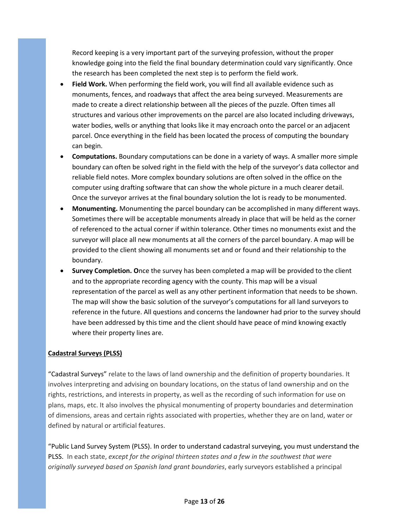Record keeping is a very important part of the surveying profession, without the proper knowledge going into the field the final boundary determination could vary significantly. Once the research has been completed the next step is to perform the field work.

- **Field Work.** When performing the field work, you will find all available evidence such as monuments, fences, and roadways that affect the area being surveyed. Measurements are made to create a direct relationship between all the pieces of the puzzle. Often times all structures and various other improvements on the parcel are also located including driveways, water bodies, wells or anything that looks like it may encroach onto the parcel or an adjacent parcel. Once everything in the field has been located the process of computing the boundary can begin.
- **Computations.** Boundary computations can be done in a variety of ways. A smaller more simple boundary can often be solved right in the field with the help of the surveyor's data collector and reliable field notes. More complex boundary solutions are often solved in the office on the computer using drafting software that can show the whole picture in a much clearer detail. Once the surveyor arrives at the final boundary solution the lot is ready to be monumented.
- **Monumenting.** Monumenting the parcel boundary can be accomplished in many different ways. Sometimes there will be acceptable monuments already in place that will be held as the corner of referenced to the actual corner if within tolerance. Other times no monuments exist and the surveyor will place all new monuments at all the corners of the parcel boundary. A map will be provided to the client showing all monuments set and or found and their relationship to the boundary.
- **Survey Completion. O**nce the survey has been completed a map will be provided to the client and to the appropriate recording agency with the county. This map will be a visual representation of the parcel as well as any other pertinent information that needs to be shown. The map will show the basic solution of the surveyor's computations for all land surveyors to reference in the future. All questions and concerns the landowner had prior to the survey should have been addressed by this time and the client should have peace of mind knowing exactly where their property lines are.

#### **Cadastral Surveys (PLSS)**

"Cadastral Surveys" relate to the laws of land ownership and the definition of property boundaries. It involves interpreting and advising on boundary locations, on the status of land ownership and on the rights, restrictions, and interests in property, as well as the recording of such information for use on plans, maps, etc. It also involves the physical monumenting of property boundaries and determination of dimensions, areas and certain rights associated with properties, whether they are on land, water or defined by natural or artificial features.

"Public Land Survey System (PLSS). In order to understand cadastral surveying, you must understand the PLSS. In each state, *except for the original thirteen states and a few in the southwest that were originally surveyed based on Spanish land grant boundaries*, early surveyors established a principal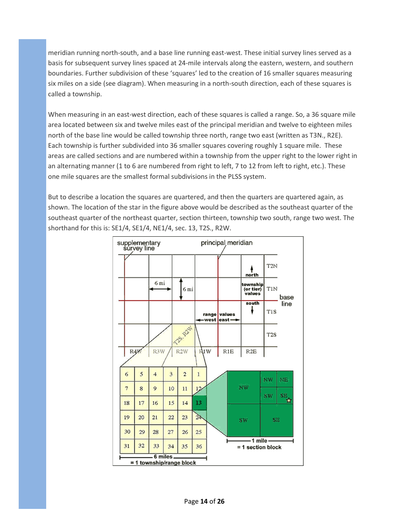meridian running north-south, and a base line running east-west. These initial survey lines served as a basis for subsequent survey lines spaced at 24-mile intervals along the eastern, western, and southern boundaries. Further subdivision of these 'squares' led to the creation of 16 smaller squares measuring six miles on a side (see diagram). When measuring in a north-south direction, each of these squares is called a township.

When measuring in an east-west direction, each of these squares is called a range. So, a 36 square mile area located between six and twelve miles east of the principal meridian and twelve to eighteen miles north of the base line would be called township three north, range two east (written as T3N., R2E). Each township is further subdivided into 36 smaller squares covering roughly 1 square mile. These areas are called sections and are numbered within a township from the upper right to the lower right in an alternating manner (1 to 6 are numbered from right to left, 7 to 12 from left to right, etc.). These one mile squares are the smallest formal subdivisions in the PLSS system.

But to describe a location the squares are quartered, and then the quarters are quartered again, as shown. The location of the star in the figure above would be described as the southeast quarter of the southeast quarter of the northeast quarter, section thirteen, township two south, range two west. The shorthand for this is: SE1/4, SE1/4, NE1/4, sec. 13, T2S., R2W.

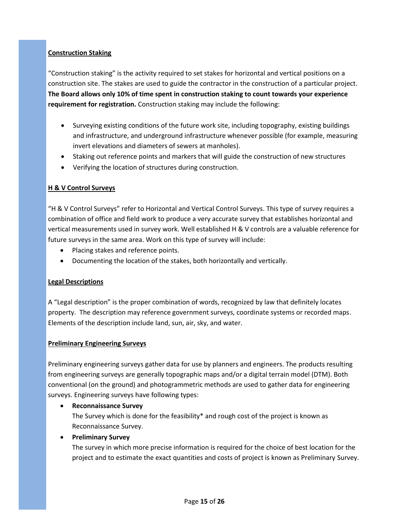#### **Construction Staking**

"Construction staking" is the activity required to set stakes for horizontal and vertical positions on a construction site. The stakes are used to guide the contractor in the construction of a particular project. **The Board allows only 10% of time spent in construction staking to count towards your experience requirement for registration.** Construction staking may include the following:

- Surveying existing conditions of the future work site, including topography, existing buildings and infrastructure, and underground infrastructure whenever possible (for example, measuring invert elevations and diameters of sewers at manholes).
- Staking out reference points and markers that will guide the construction of new structures
- Verifying the location of structures during construction.

#### **H & V Control Surveys**

"H & V Control Surveys" refer to Horizontal and Vertical Control Surveys. This type of survey requires a combination of office and field work to produce a very accurate survey that establishes horizontal and vertical measurements used in survey work. Well established H & V controls are a valuable reference for future surveys in the same area. Work on this type of survey will include:

- Placing stakes and reference points.
- Documenting the location of the stakes, both horizontally and vertically.

#### **Legal Descriptions**

A "Legal description" is the proper combination of words, recognized by law that definitely locates property. The description may reference government surveys, coordinate systems or recorded maps. Elements of the description include land, sun, air, sky, and water.

#### **Preliminary Engineering Surveys**

Preliminary engineering surveys gather data for use by planners and engineers. The products resulting from engineering surveys are generally topographic maps and/or a digital terrain model (DTM). Both conventional (on the ground) and photogrammetric methods are used to gather data for engineering surveys. Engineering surveys have following types:

• **Reconnaissance Survey**

The Survey which is done for the feasibility\* and rough cost of the project is known as Reconnaissance Survey.

#### • **Preliminary Survey**

The survey in which more precise information is required for the choice of best location for the project and to estimate the exact quantities and costs of project is known as Preliminary Survey.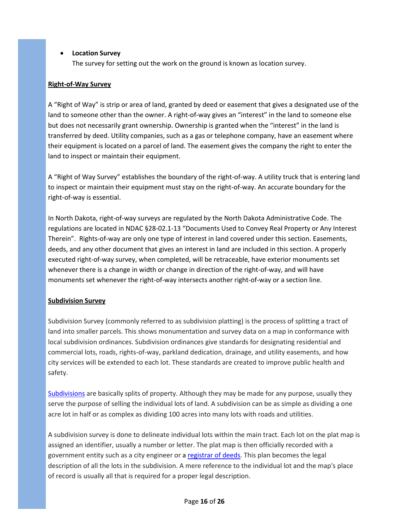#### • **Location Survey**

The survey for setting out the work on the ground is known as location survey.

#### **Right-of-Way Survey**

A "Right of Way" is strip or area of land, granted by deed or easement that gives a designated use of the land to someone other than the owner. A right-of-way gives an "interest" in the land to someone else but does not necessarily grant ownership. Ownership is granted when the "interest" in the land is transferred by deed. Utility companies, such as a gas or telephone company, have an easement where their equipment is located on a parcel of land. The easement gives the company the right to enter the land to inspect or maintain their equipment.

A "Right of Way Survey" establishes the boundary of the right-of-way. A utility truck that is entering land to inspect or maintain their equipment must stay on the right-of-way. An accurate boundary for the right-of-way is essential.

In North Dakota, right-of-way surveys are regulated by the North Dakota Administrative Code. The regulations are located in NDAC §28-02.1-13 "Documents Used to Convey Real Property or Any Interest Therein". Rights-of-way are only one type of interest in land covered under this section. Easements, deeds, and any other document that gives an interest in land are included in this section. A properly executed right-of-way survey, when completed, will be retraceable, have exterior monuments set whenever there is a change in width or change in direction of the right-of-way, and will have monuments set whenever the right-of-way intersects another right-of-way or a section line.

#### **Subdivision Survey**

Subdivision Survey (commonly referred to as subdivision platting) is the process of splitting a tract of land into smaller parcels. This shows monumentation and survey data on a map in conformance with local subdivision ordinances. Subdivision ordinances give standards for designating residential and commercial lots, roads, rights-of-way, parkland dedication, drainage, and utility easements, and how city services will be extended to each lot. These standards are created to improve public health and safety.

[Subdivisions](http://en.wikipedia.org/wiki/Subdivision_%28land%29) are basically splits of property. Although they may be made for any purpose, usually they serve the purpose of selling the individual lots of land. A subdivision can be as simple as dividing a one acre lot in half or as complex as dividing 100 acres into many lots with roads and utilities.

A subdivision survey is done to delineate individual lots within the main tract. Each lot on the plat map is assigned an identifier, usually a number or letter. The plat map is then officially recorded with a government entity such as a city engineer or a [registrar](http://en.wikipedia.org/wiki/Recorder_of_deeds) of deeds. This plan becomes the legal description of all the lots in the subdivision. A mere reference to the individual lot and the map's place of record is usually all that is required for a proper legal description.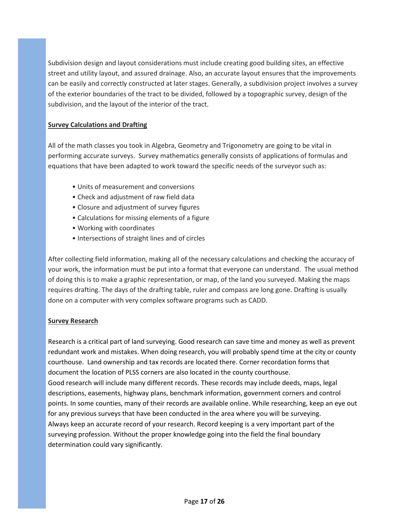Subdivision design and layout considerations must include creating good building sites, an effective street and utility layout, and assured drainage. Also, an accurate layout ensures that the improvements can be easily and correctly constructed at later stages. Generally, a subdivision project involves a survey of the exterior boundaries of the tract to be divided, followed by a topographic survey, design of the subdivision, and the layout of the interior of the tract.

#### **Survey Calculations and Drafting**

All of the math classes you took in Algebra, Geometry and Trigonometry are going to be vital in performing accurate surveys. Survey mathematics generally consists of applications of formulas and equations that have been adapted to work toward the specific needs of the surveyor such as:

- Units of measurement and conversions
- Check and adjustment of raw field data
- Closure and adjustment of survey figures
- Calculations for missing elements of a figure
- Working with coordinates
- Intersections of straight lines and of circles

After collecting field information, making all of the necessary calculations and checking the accuracy of your work, the information must be put into a format that everyone can understand. The usual method of doing this is to make a graphic representation, or map, of the land you surveyed. Making the maps requires drafting. The days of the drafting table, ruler and compass are long gone. Drafting is usually done on a computer with very complex software programs such as CADD.

#### **Survey Research**

Research is a critical part of land surveying. Good research can save time and money as well as prevent redundant work and mistakes. When doing research, you will probably spend time at the city or county courthouse. Land ownership and tax records are located there. Corner recordation forms that document the location of PLSS corners are also located in the county courthouse. Good research will include many different records. These records may include deeds, maps, legal descriptions, easements, highway plans, benchmark information, government corners and control points. In some counties, many of their records are available online. While researching, keep an eye out for any previous surveys that have been conducted in the area where you will be surveying. Always keep an accurate record of your research. Record keeping is a very important part of the surveying profession. Without the proper knowledge going into the field the final boundary determination could vary significantly.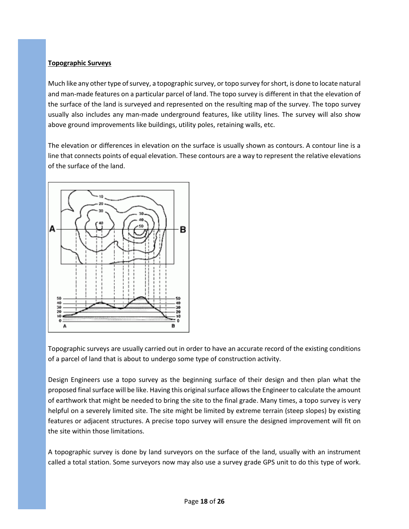#### **Topographic Surveys**

Much like any other type of survey, a topographic survey, or topo survey for short, is done to locate natural and man-made features on a particular parcel of land. The topo survey is different in that the elevation of the surface of the land is surveyed and represented on the resulting map of the survey. The topo survey usually also includes any man-made underground features, like utility lines. The survey will also show above ground improvements like buildings, utility poles, retaining walls, etc.

The elevation or differences in elevation on the surface is usually shown as contours. A contour line is a line that connects points of equal elevation. These contours are a way to represent the relative elevations of the surface of the land.



Topographic surveys are usually carried out in order to have an accurate record of the existing conditions of a parcel of land that is about to undergo some type of construction activity.

Design Engineers use a topo survey as the beginning surface of their design and then plan what the proposed final surface will be like. Having this original surface allows the Engineer to calculate the amount of earthwork that might be needed to bring the site to the final grade. Many times, a topo survey is very helpful on a severely limited site. The site might be limited by extreme terrain (steep slopes) by existing features or adjacent structures. A precise topo survey will ensure the designed improvement will fit on the site within those limitations.

A topographic survey is done by land surveyors on the surface of the land, usually with an instrument called a total station. Some surveyors now may also use a survey grade GPS unit to do this type of work.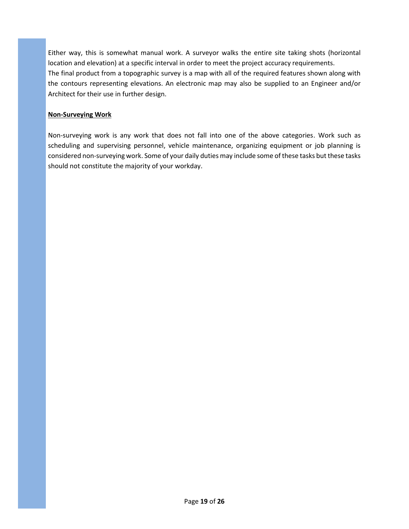Either way, this is somewhat manual work. A surveyor walks the entire site taking shots (horizontal location and elevation) at a specific interval in order to meet the project accuracy requirements. The final product from a topographic survey is a map with all of the required features shown along with the contours representing elevations. An electronic map may also be supplied to an Engineer and/or Architect for their use in further design.

#### **Non-Surveying Work**

Non-surveying work is any work that does not fall into one of the above categories. Work such as scheduling and supervising personnel, vehicle maintenance, organizing equipment or job planning is considered non-surveying work. Some of your daily duties may include some of these tasks but these tasks should not constitute the majority of your workday.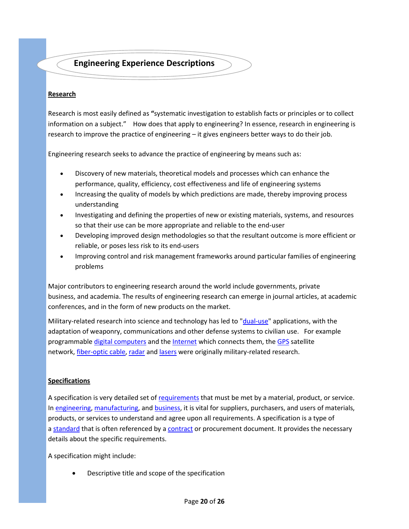# **Engineering Experience Descriptions**

#### **Research**

Research is most easily defined as **"**systematic investigation to establish facts or principles or to collect information on a subject." How does that apply to engineering? In essence, research in engineering is research to improve the practice of engineering – it gives engineers better ways to do their job.

Engineering research seeks to advance the practice of engineering by means such as:

- Discovery of new materials, theoretical models and processes which can enhance the performance, quality, efficiency, cost effectiveness and life of engineering systems
- Increasing the quality of models by which predictions are made, thereby improving process understanding
- Investigating and defining the properties of new or existing materials, systems, and resources so that their use can be more appropriate and reliable to the end-user
- Developing improved design methodologies so that the resultant outcome is more efficient or reliable, or poses less risk to its end-users
- Improving control and risk management frameworks around particular families of engineering problems

Major contributors to engineering research around the world include governments, private business, and academia. The results of engineering research can emerge in journal articles, at academic conferences, and in the form of new products on the market.

Military-related research into science and technology has led to ["dual-use"](http://en.wikipedia.org/wiki/Dual-use) applications, with the adaptation of weaponry, communications and other defense systems to civilian use. For example programmable [digital computers](http://en.wikipedia.org/wiki/Digital_computer) and the [Internet](http://en.wikipedia.org/wiki/Internet) which connects them, the [GPS](http://en.wikipedia.org/wiki/GPS) satellite network, [fiber-optic cable,](http://en.wikipedia.org/wiki/Fiber-optic_cable) [radar](http://en.wikipedia.org/wiki/Radar) and [lasers](http://en.wikipedia.org/wiki/Laser) were originally military-related research.

#### **Specifications**

A specification is very detailed set of [requirements](http://requirements.askdefine.com/) that must be met by a material, product, or service. In [engineering,](http://engineering.askdefine.com/) [manufacturing,](http://manufacturing.askdefine.com/) and [business,](http://business.askdefine.com/) it is vital for suppliers, purchasers, and users of materials, products, or services to understand and agree upon all requirements. A specification is a type of a [standard](http://standard.askdefine.com/) that is often referenced by a [contract](http://contract.askdefine.com/) or procurement document. It provides the necessary details about the specific requirements.

A specification might include:

• Descriptive title and scope of the specification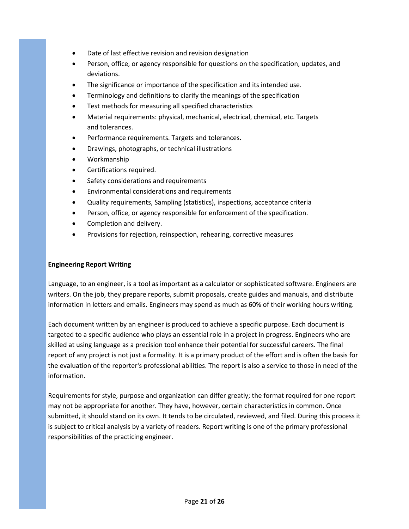- Date of last effective revision and revision designation
- Person, office, or agency responsible for questions on the specification, updates, and deviations.
- The significance or importance of the specification and its intended use.
- Terminology and definitions to clarify the meanings of the specification
- Test methods for measuring all specified characteristics
- Material requirements: physical, mechanical, electrical, chemical, etc. Targets and tolerances.
- Performance requirements. Targets and tolerances.
- Drawings, photographs, or [technical illustrations](http://www.askdefine.com/search?q=technical%20illustration)
- Workmanship
- Certifications required.
- Safety considerations and requirements
- Environmental considerations and requirements
- Quality requirements, [Sampling \(statistics\),](http://www.askdefine.com/search?q=Sampling%20(statistics)) inspections, acceptance criteria
- Person, office, or agency responsible for enforcement of the specification.
- Completion and delivery.
- Provisions for rejection, reinspection, rehearing, corrective measures

#### **Engineering Report Writing**

Language, to an engineer, is a tool as important as a calculator or sophisticated software. Engineers are writers. On the job, they prepare reports, submit proposals, create guides and manuals, and distribute information in letters and emails. Engineers may spend as much as 60% of their working hours writing.

Each document written by an engineer is produced to achieve a specific purpose. Each document is targeted to a specific audience who plays an essential role in a project in progress. Engineers who are skilled at using language as a precision tool enhance their potential for successful careers. The final report of any project is not just a formality. It is a primary product of the effort and is often the basis for the evaluation of the reporter's professional abilities. The report is also a service to those in need of the information.

Requirements for style, purpose and organization can differ greatly; the format required for one report may not be appropriate for another. They have, however, certain characteristics in common. Once submitted, it should stand on its own. It tends to be circulated, reviewed, and filed. During this process it is subject to critical analysis by a variety of readers. Report writing is one of the primary professional responsibilities of the practicing engineer.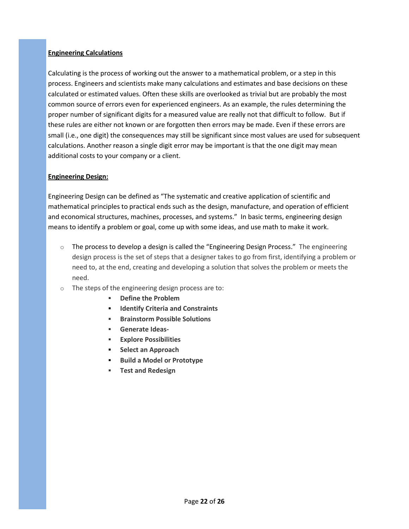#### **Engineering Calculations**

Calculating is the process of working out the answer to a mathematical problem, or a step in this process. Engineers and scientists make many calculations and estimates and base decisions on these calculated or estimated values. Often these skills are overlooked as trivial but are probably the most common source of errors even for experienced engineers. As an example, the rules determining the proper number of significant digits for a measured value are really not that difficult to follow. But if these rules are either not known or are forgotten then errors may be made. Even if these errors are small (i.e., one digit) the consequences may still be significant since most values are used for subsequent calculations. Another reason a single digit error may be important is that the one digit may mean additional costs to your company or a client.

#### **Engineering Design:**

Engineering Design can be defined as "The systematic and creative application of scientific and mathematical principles to practical ends such as the design, manufacture, and operation of efficient and economical structures, machines, processes, and systems." In basic terms, engineering design means to identify a problem or goal, come up with some ideas, and use math to make it work.

- $\circ$  The process to develop a design is called the "Engineering Design Process." The engineering design process is the set of steps that a designer takes to go from first, identifying a problem or need to, at the end, creating and developing a solution that solves the problem or meets the need.
- o The steps of the engineering design process are to:
	- **Define the Problem**
	- **Identify Criteria and Constraints**
	- **Brainstorm Possible Solutions**
	- **Generate Ideas-**
	- **Explore Possibilities**
	- **Select an Approach**
	- **Build a Model or Prototype**
	- **Test and Redesign**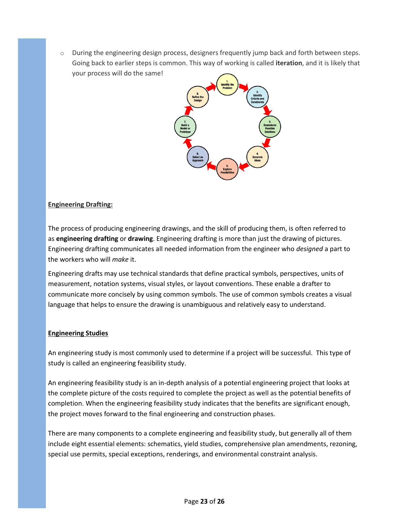$\circ$  During the engineering design process, designers frequently jump back and forth between steps. Going back to earlier steps is common. This way of working is called **iteration**, and it is likely that your process will do the same!



#### **Engineering Drafting:**

The process of producing engineering drawings, and the skill of producing them, is often referred to as **engineering drafting** or **drawing**. Engineering drafting is more than just the drawing of pictures. Engineering drafting communicates all needed information from the engineer who *designed* a part to the workers who will *make* it.

Engineering drafts may use [technical standards](http://en.wikipedia.org/wiki/Technical_standard) that define practical symbols, perspectives, units of measurement, notation systems, visual styles, or layout conventions. These enable a drafter to communicate more concisely by using common symbols. The use of common symbols creates a visual language that helps to ensure the drawing is unambiguous and relatively easy to understand.

#### **Engineering Studies**

An engineering study is most commonly used to determine if a project will be successful. This type of study is called an engineering feasibility study.

An engineering feasibility study is an in-depth analysis of a potential engineering project that looks at the complete picture of the costs required to complete the project as well as the potential benefits of completion. When the engineering feasibility study indicates that the benefits are significant enough, the project moves forward to the final engineering and construction phases.

There are many components to a complete engineering and feasibility study, but generally all of them include eight essential elements: schematics, yield studies, comprehensive plan amendments, rezoning, special use permits, special exceptions, renderings, and environmental constraint analysis.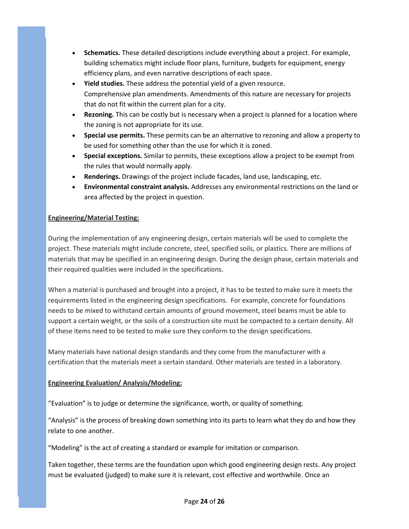- **Schematics.** These detailed descriptions include everything about a project. For example, building schematics might include floor plans, furniture, budgets for equipment, energy efficiency plans, and even narrative descriptions of each space.
- **Yield studies.** These address the potential yield of a given resource. Comprehensive plan amendments. Amendments of this nature are necessary for projects that do not fit within the current plan for a city.
- **Rezoning.** This can be costly but is necessary when a project is planned for a location where the zoning is not appropriate for its use.
- **Special use permits.** These permits can be an alternative to rezoning and allow a property to be used for something other than the use for which it is zoned.
- **Special exceptions.** Similar to permits, these exceptions allow a project to be exempt from the rules that would normally apply.
- **Renderings.** Drawings of the project include facades, land use, landscaping, etc.
- **Environmental constraint analysis.** Addresses any environmental restrictions on the land or area affected by the project in question.

#### **Engineering/Material Testing:**

During the implementation of any engineering design, certain materials will be used to complete the project. These materials might include concrete, steel, specified soils, or plastics. There are millions of materials that may be specified in an engineering design. During the design phase, certain materials and their required qualities were included in the specifications.

When a material is purchased and brought into a project, it has to be tested to make sure it meets the requirements listed in the engineering design specifications. For example, concrete for foundations needs to be mixed to withstand certain amounts of ground movement, steel beams must be able to support a certain weight, or the soils of a construction site must be compacted to a certain density. All of these items need to be tested to make sure they conform to the design specifications.

Many materials have national design standards and they come from the manufacturer with a certification that the materials meet a certain standard. Other materials are tested in a laboratory.

#### **Engineering Evaluation/ Analysis/Modeling:**

"Evaluation" is to judge or determine the significance, worth, or quality of something.

"Analysis" is the process of breaking down something into its parts to learn what they do and how they relate to one another.

"Modeling" is the act of creating a standard or example for imitation or comparison.

Taken together, these terms are the foundation upon which good engineering design rests. Any project must be evaluated (judged) to make sure it is relevant, cost effective and worthwhile. Once an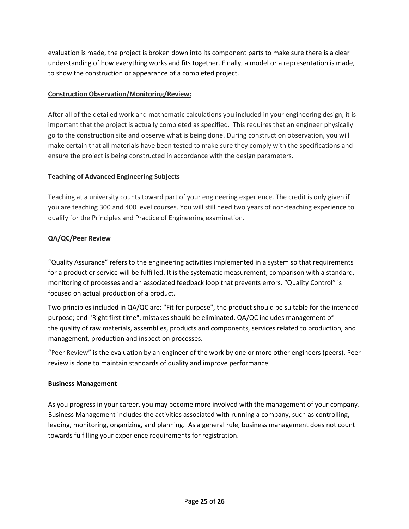evaluation is made, the project is broken down into its component parts to make sure there is a clear understanding of how everything works and fits together. Finally, a model or a representation is made, to show the construction or appearance of a completed project.

#### **Construction Observation/Monitoring/Review:**

After all of the detailed work and mathematic calculations you included in your engineering design, it is important that the project is actually completed as specified. This requires that an engineer physically go to the construction site and observe what is being done. During construction observation, you will make certain that all materials have been tested to make sure they comply with the specifications and ensure the project is being constructed in accordance with the design parameters.

#### **Teaching of Advanced Engineering Subjects**

Teaching at a university counts toward part of your engineering experience. The credit is only given if you are teaching 300 and 400 level courses. You will still need two years of non-teaching experience to qualify for the Principles and Practice of Engineering examination.

#### **QA/QC/Peer Review**

"Quality Assurance" refers to the engineering activities implemented in a system so that requirements for a product or service will be fulfilled. It is the systematic measurement, comparison with a standard, monitoring of processes and an associated feedback loop that prevents errors. "Quality Control" is focused on actual production of a product.

Two principles included in QA/QC are: "Fit for purpose", the product should be suitable for the intended purpose; and "Right first time", mistakes should be eliminated. QA/QC includes management of the quality of raw materials, assemblies, products and components, services related to production, and management, production and inspection processes.

"Peer Review" is the evaluation by an engineer of the work by one or more other engineers (peers). Peer review is done to maintain standards of quality and improve performance.

#### **Business Management**

As you progress in your career, you may become more involved with the management of your company. Business Management includes the activities associated with running a company, such as controlling, leading, monitoring, organizing, and planning. As a general rule, business management does not count towards fulfilling your experience requirements for registration.